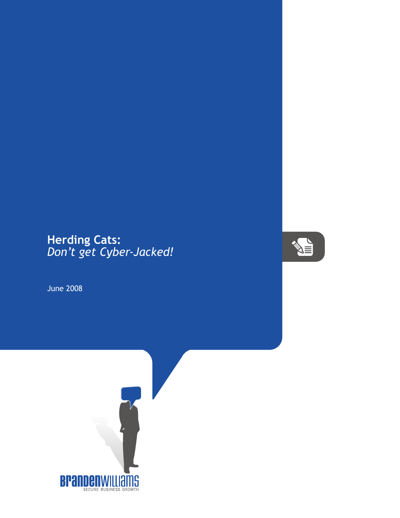## **Herding Cats:** *Don't get Cyber-Jacked!*

June 2008



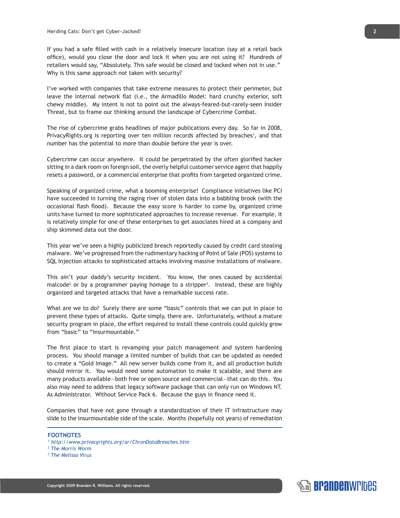If you had a safe filled with cash in a relatively insecure location (say at a retail back office), would you close the door and lock it when you are not using it? Hundreds of retailers would say, "Absolutely. This safe would be closed and locked when not in use." Why is this same approach not taken with security?

I've worked with companies that take extreme measures to protect their perimeter, but leave the internal network flat (i.e., the Armadillo Model: hard crunchy exterior, soft chewy middle). My intent is not to point out the always-feared-but-rarely-seen Insider Threat, but to frame our thinking around the landscape of Cybercrime Combat.

The rise of cybercrime grabs headlines of major publications every day. So far in 2008, PrivacyRights.org is reporting over ten million records affected by breaches<sup>1</sup>, and that number has the potential to more than double before the year is over.

Cybercrime can occur anywhere. It could be perpetrated by the often glorified hacker sitting in a dark room on foreign soil, the overly helpful customer service agent that happily resets a password, or a commercial enterprise that profits from targeted organized crime.

Speaking of organized crime, what a booming enterprise! Compliance initiatives like PCI have succeeded in turning the raging river of stolen data into a babbling brook (with the occasional flash flood). Because the easy score is harder to come by, organized crime units have turned to more sophisticated approaches to increase revenue. For example, it is relatively simple for one of these enterprises to get associates hired at a company and ship skimmed data out the door.

This year we've seen a highly publicized breach reportedly caused by credit card stealing malware. We've progressed from the rudimentary hacking of Point of Sale (POS) systems to SQL Injection attacks to sophisticated attacks involving massive installations of malware.

This ain't your daddy's security incident. You know, the ones caused by accidental malcode<sup>2</sup> or by a programmer paying homage to a stripper<sup>3</sup>. Instead, these are highly organized and targeted attacks that have a remarkable success rate.

What are we to do? Surely there are some "basic" controls that we can put in place to prevent these types of attacks. Quite simply, there are. Unfortunately, without a mature security program in place, the effort required to install these controls could quickly grow from "basic" to "insurmountable."

The first place to start is revamping your patch management and system hardening process. You should manage a limited number of builds that can be updated as needed to create a "Gold Image." All new server builds come from it, and all production builds should mirror it. You would need some automation to make it scalable, and there are many products available—both free or open source and commercial—that can do this. You also may need to address that legacy software package that can only run on Windows NT. As Administrator. Without Service Pack 6. Because the guys in finance need it.

Companies that have not gone through a standardization of their IT infrastructure may slide to the insurmountable side of the scale. Months (hopefully not years) of remediation

## **FOOTNOTES**

- *1 http://www.privacyrights.org/ar/ChronDataBreaches.htm*
- *2 The Morris Worm*
- *3 The Melissa Virus*

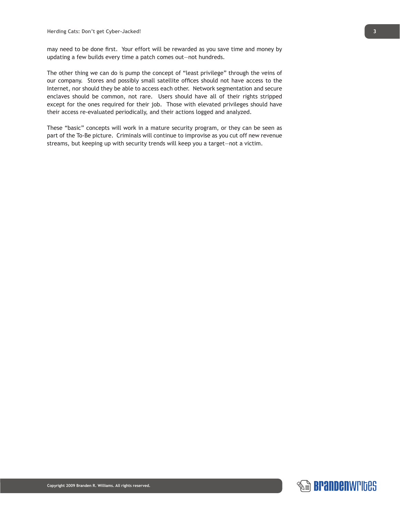may need to be done first. Your effort will be rewarded as you save time and money by updating a few builds every time a patch comes out—not hundreds.

The other thing we can do is pump the concept of "least privilege" through the veins of our company. Stores and possibly small satellite offices should not have access to the Internet, nor should they be able to access each other. Network segmentation and secure enclaves should be common, not rare. Users should have all of their rights stripped except for the ones required for their job. Those with elevated privileges should have their access re-evaluated periodically, and their actions logged and analyzed.

These "basic" concepts will work in a mature security program, or they can be seen as part of the To-Be picture. Criminals will continue to improvise as you cut off new revenue streams, but keeping up with security trends will keep you a target—not a victim.